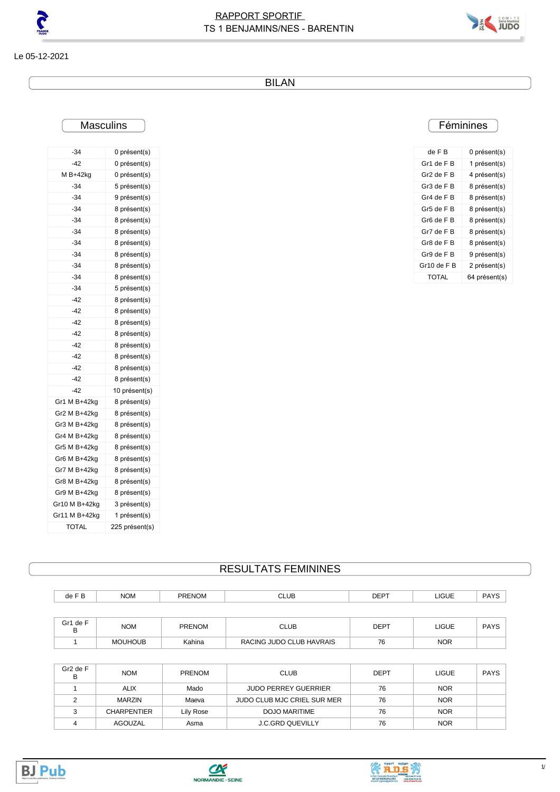



Le 05-12-2021

BILAN

# **Masculins**

| -34           | 0 présent(s)   |
|---------------|----------------|
| $-42$         | 0 présent(s)   |
| M B+42kg      | 0 présent(s)   |
| $-34$         | 5 présent(s)   |
| -34           | 9 présent(s)   |
| $-34$         | 8 présent(s)   |
| $-34$         | 8 présent(s)   |
| $-34$         | 8 présent(s)   |
| -34           | 8 présent(s)   |
| -34           | 8 présent(s)   |
| -34           | 8 présent(s)   |
| $-34$         | 8 présent(s)   |
| $-34$         | 5 présent(s)   |
| $-42$         | 8 présent(s)   |
| -42           | 8 présent(s)   |
| $-42$         | 8 présent(s)   |
| -42           | 8 présent(s)   |
| $-42$         | 8 présent(s)   |
| $-42$         | 8 présent(s)   |
| -42           | 8 présent(s)   |
| $-42$         | 8 présent(s)   |
| $-42$         | 10 présent(s)  |
| Gr1 M B+42kg  | 8 présent(s)   |
| Gr2 M B+42kg  | 8 présent(s)   |
| Gr3 M B+42kg  | 8 présent(s)   |
| Gr4 M B+42kg  | 8 présent(s)   |
| Gr5 M B+42kg  | 8 présent(s)   |
| Gr6 M B+42kg  | 8 présent(s)   |
| Gr7 M B+42kg  | 8 présent(s)   |
| Gr8 M B+42kg  | 8 présent(s)   |
| Gr9 M B+42kg  | 8 présent(s)   |
| Gr10 M B+42kg | 3 présent(s)   |
| Gr11 M B+42kg | 1 présent(s)   |
| <b>TOTAL</b>  | 225 présent(s) |

# **Féminines**

| de F B      | 0 présent(s)  |
|-------------|---------------|
| Gr1 de F B  | 1 présent(s)  |
| Gr2 de F B  | 4 présent(s)  |
| Gr3 de F B  | 8 présent(s)  |
| Gr4 de F B  | 8 présent(s)  |
| Gr5 de F B  | 8 présent(s)  |
| Gr6 de FB   | 8 présent(s)  |
| Gr7 de F B  | 8 présent(s)  |
| Gr8 de FB   | 8 présent(s)  |
| Gr9 de F B  | 9 présent(s)  |
| Gr10 de F B | 2 présent(s)  |
| TOTAL       | 64 présent(s) |

### RESULTATS FEMININES

| de F B   | <b>NOM</b> | <b>PRENOM</b> | <b>CLUB</b> | <b>DEPT</b> | <b>LIGUE</b> | <b>PAYS</b> |
|----------|------------|---------------|-------------|-------------|--------------|-------------|
|          |            |               |             |             |              |             |
| Gr1 de F | <b>NOM</b> | <b>PRENOM</b> | <b>CLUB</b> | <b>DEPT</b> | <b>LIGUE</b> | <b>PAYS</b> |

1 MOUHOUB Kahina RACING JUDO CLUB HAVRAIS 76 NOR

| Gr2 de F<br>В | <b>NOM</b>         | <b>PRENOM</b> | <b>CLUB</b>                 | <b>DEPT</b> | <b>LIGUE</b> | <b>PAYS</b> |
|---------------|--------------------|---------------|-----------------------------|-------------|--------------|-------------|
|               | <b>ALIX</b>        | Mado          | <b>JUDO PERREY GUERRIER</b> | 76          | <b>NOR</b>   |             |
|               | MARZIN             | Maeva         | JUDO CLUB MJC CRIEL SUR MER | 76          | <b>NOR</b>   |             |
|               | <b>CHARPENTIER</b> | Lily Rose     | DOJO MARITIME               | 76          | <b>NOR</b>   |             |
|               | AGOUZAL            | Asma          | <b>J.C.GRD QUEVILLY</b>     | 76          | <b>NOR</b>   |             |





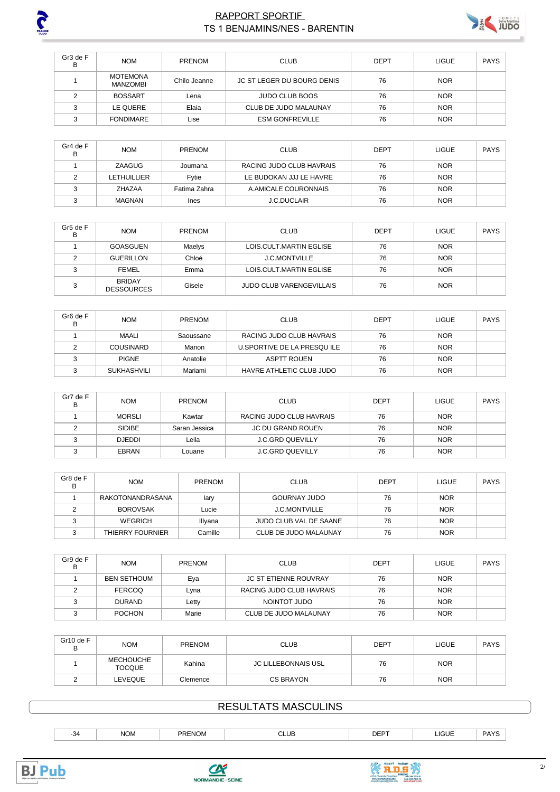

#### **RAPPORT SPORTIF** TS 1 BENJAMINS/NES - BARENTIN



| Gr3 de F<br>в | <b>NOM</b>                  | PRENOM       | <b>CLUB</b>                       | DEPT | <b>LIGUE</b> | PAYS |
|---------------|-----------------------------|--------------|-----------------------------------|------|--------------|------|
|               | <b>MOTEMONA</b><br>MANZOMBI | Chilo Jeanne | <b>JC ST LEGER DU BOURG DENIS</b> | 76   | <b>NOR</b>   |      |
|               | <b>BOSSART</b>              | Lena         | <b>JUDO CLUB BOOS</b>             | 76   | <b>NOR</b>   |      |
| ◠             | LE QUERE                    | Elaia        | CLUB DE JUDO MALAUNAY             | 76   | <b>NOR</b>   |      |
| $\sim$        | <b>FONDIMARE</b>            | Lise         | <b>ESM GONFREVILLE</b>            | 76   | <b>NOR</b>   |      |

| Gr4 de F<br>в | <b>NOM</b>    | <b>PRENOM</b> | <b>CLUB</b>              | DEPT | <b>LIGUE</b> | PAYS |
|---------------|---------------|---------------|--------------------------|------|--------------|------|
|               | ZAAGUG        | Joumana       | RACING JUDO CLUB HAVRAIS | 76   | <b>NOR</b>   |      |
|               | LETHUILLIER   | Fytie         | LE BUDOKAN JJJ LE HAVRE  | 76   | <b>NOR</b>   |      |
|               | ZHAZAA        | Fatima Zahra  | A.AMICALE COURONNAIS     | 76   | <b>NOR</b>   |      |
| $\sim$        | <b>MAGNAN</b> | Ines          | <b>J.C.DUCLAIR</b>       | 76   | <b>NOR</b>   |      |

| Gr5 de F<br>в | <b>NOM</b>                         | <b>PRENOM</b> | <b>CLUB</b>                     | <b>DEPT</b> | <b>LIGUE</b> | PAYS |
|---------------|------------------------------------|---------------|---------------------------------|-------------|--------------|------|
|               | GOASGUEN                           | Maelys        | LOIS.CULT.MARTIN EGLISE         | 76          | <b>NOR</b>   |      |
|               | <b>GUERILLON</b>                   | Chloé         | <b>J.C.MONTVILLE</b>            | 76          | <b>NOR</b>   |      |
|               | <b>FEMEL</b>                       | Emma          | LOIS CULT MARTIN EGLISE         | 76          | <b>NOR</b>   |      |
| ົ             | <b>BRIDAY</b><br><b>DESSOURCES</b> | Gisele        | <b>JUDO CLUB VARENGEVILLAIS</b> | 76          | <b>NOR</b>   |      |

| Gr <sub>6</sub> de F<br>в | <b>NOM</b>         | <b>PRENOM</b> | <b>CLUB</b>                | DEPT | LIGUE      | PAYS |
|---------------------------|--------------------|---------------|----------------------------|------|------------|------|
|                           | MAALI              | Saoussane     | RACING JUDO CLUB HAVRAIS   | 76   | <b>NOR</b> |      |
|                           | <b>COUSINARD</b>   | Manon         | U.SPORTIVE DE LA PRESQUILE | 76   | <b>NOR</b> |      |
|                           | <b>PIGNE</b>       | Anatolie      | <b>ASPTT ROUEN</b>         | 76   | <b>NOR</b> |      |
|                           | <b>SUKHASHVILI</b> | Mariami       | HAVRE ATHLETIC CLUB JUDO   | 76   | <b>NOR</b> |      |

| Gr7 de F<br>в | <b>NOM</b>    | <b>PRENOM</b> | <b>CLUB</b>              | DEPT | <b>LIGUE</b> | <b>PAYS</b> |
|---------------|---------------|---------------|--------------------------|------|--------------|-------------|
|               | <b>MORSLI</b> | Kawtar        | RACING JUDO CLUB HAVRAIS | 76   | <b>NOR</b>   |             |
|               | <b>SIDIBE</b> | Saran Jessica | <b>JC DU GRAND ROUEN</b> | 76   | <b>NOR</b>   |             |
| $\sim$        | DJEDDI        | Leila         | <b>J.C.GRD QUEVILLY</b>  | 76   | <b>NOR</b>   |             |
|               | EBRAN         | Louane        | <b>J.C.GRD QUEVILLY</b>  | 76   | <b>NOR</b>   |             |

| Gr8 de F<br>в | <b>NOM</b>       | <b>PRENOM</b> | <b>CLUB</b>            | <b>DEPT</b> | <b>LIGUE</b> | <b>PAYS</b> |
|---------------|------------------|---------------|------------------------|-------------|--------------|-------------|
|               | RAKOTONANDRASANA | lary          | <b>GOURNAY JUDO</b>    | 76          | <b>NOR</b>   |             |
|               | <b>BOROVSAK</b>  | Lucie         | <b>J.C.MONTVILLE</b>   | 76          | <b>NOR</b>   |             |
|               | WEGRICH          | Illyana       | JUDO CLUB VAL DE SAANE | 76          | <b>NOR</b>   |             |
|               | THIERRY FOURNIER | Camille       | CLUB DE JUDO MALAUNAY  | 76          | <b>NOR</b>   |             |

| Gr9 de F<br>в | <b>NOM</b>         | <b>PRENOM</b> | <b>CLUB</b>                  | <b>DEPT</b> | <b>LIGUE</b> | PAYS |
|---------------|--------------------|---------------|------------------------------|-------------|--------------|------|
|               | <b>BEN SETHOUM</b> | Eya           | <b>JC ST ETIENNE ROUVRAY</b> | 76          | <b>NOR</b>   |      |
|               | <b>FERCOQ</b>      | Lvna          | RACING JUDO CLUB HAVRAIS     | 76          | <b>NOR</b>   |      |
|               | <b>DURAND</b>      | Letty         | NOINTOT JUDO                 | 76          | <b>NOR</b>   |      |
|               | <b>POCHON</b>      | Marie         | CLUB DE JUDO MALAUNAY        | 76          | <b>NOR</b>   |      |

| Gr10 de F<br>ь | <b>NOM</b>                        | PRENOM   | <b>CLUB</b>         | <b>DEPT</b> | <b>LIGUE</b> | PAYS |
|----------------|-----------------------------------|----------|---------------------|-------------|--------------|------|
|                | <b>MECHOUCHE</b><br><b>TOCQUE</b> | Kahina   | JC LILLEBONNAIS USL | 76          | <b>NOR</b>   |      |
|                | LEVEQUE                           | Clemence | CS BRAYON           | 76          | <b>NOR</b>   |      |

# **RESULTATS MASCULINS**

| -371 | <b>NOM</b><br>_____ | <b>PRENOM</b><br>$\sim$ $\sim$ | CLUB<br>___ | <b>DEDT</b><br>◡└ | <b>LIGUE</b><br>_____ | つハンく |
|------|---------------------|--------------------------------|-------------|-------------------|-----------------------|------|
|      |                     |                                |             |                   |                       |      |





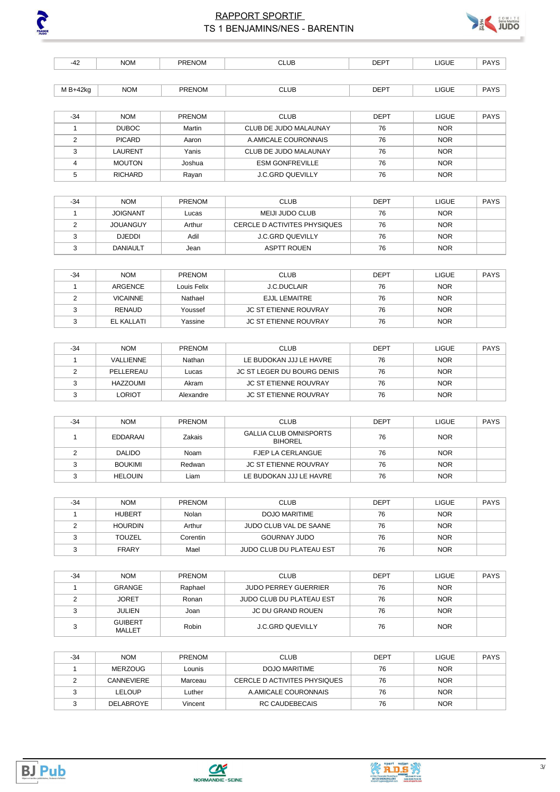

### RAPPORT SPORTIF **DENTIFE AREA SERVES AND ALL AND SERVES** TS 1 BENJAMINS/NES - BARENTIN

| $-42$          | <b>NOM</b>        | <b>PRENOM</b> | <b>CLUB</b>                                     | <b>DEPT</b> | <b>LIGUE</b> | <b>PAYS</b> |
|----------------|-------------------|---------------|-------------------------------------------------|-------------|--------------|-------------|
|                |                   |               |                                                 |             |              |             |
| M B+42kg       | <b>NOM</b>        | <b>PRENOM</b> | <b>CLUB</b>                                     | <b>DEPT</b> | <b>LIGUE</b> | <b>PAYS</b> |
|                |                   |               |                                                 |             |              |             |
| $-34$          | <b>NOM</b>        | <b>PRENOM</b> | <b>CLUB</b>                                     | <b>DEPT</b> | <b>LIGUE</b> | <b>PAYS</b> |
| $\mathbf{1}$   | <b>DUBOC</b>      | Martin        | CLUB DE JUDO MALAUNAY                           | 76          | <b>NOR</b>   |             |
| $\overline{2}$ | <b>PICARD</b>     | Aaron         | A.AMICALE COURONNAIS                            | 76          | <b>NOR</b>   |             |
| 3              | <b>LAURENT</b>    | Yanis         | CLUB DE JUDO MALAUNAY                           | 76          | <b>NOR</b>   |             |
| $\overline{4}$ | <b>MOUTON</b>     | Joshua        | <b>ESM GONFREVILLE</b>                          | 76          | <b>NOR</b>   |             |
| 5              | <b>RICHARD</b>    | Rayan         | <b>J.C.GRD QUEVILLY</b>                         | 76          | <b>NOR</b>   |             |
|                |                   |               |                                                 |             |              |             |
| $-34$          | <b>NOM</b>        | PRENOM        | <b>CLUB</b>                                     | <b>DEPT</b> | <b>LIGUE</b> | <b>PAYS</b> |
| $\mathbf{1}$   | <b>JOIGNANT</b>   | Lucas         | <b>MEIJI JUDO CLUB</b>                          | 76          | <b>NOR</b>   |             |
| $\overline{2}$ | <b>JOUANGUY</b>   | Arthur        | CERCLE D ACTIVITES PHYSIQUES                    | 76          | <b>NOR</b>   |             |
| 3              | <b>DJEDDI</b>     | Adil          | <b>J.C.GRD QUEVILLY</b>                         | 76          | <b>NOR</b>   |             |
| 3              | <b>DANIAULT</b>   | Jean          | <b>ASPTT ROUEN</b>                              | 76          | <b>NOR</b>   |             |
|                |                   |               |                                                 |             |              |             |
| $-34$          | <b>NOM</b>        | <b>PRENOM</b> | <b>CLUB</b>                                     | <b>DEPT</b> | <b>LIGUE</b> | <b>PAYS</b> |
| $\mathbf{1}$   | <b>ARGENCE</b>    | Louis Felix   | <b>J.C.DUCLAIR</b>                              | 76          | <b>NOR</b>   |             |
| $\overline{2}$ | <b>VICAINNE</b>   | Nathael       | <b>EJJL LEMAITRE</b>                            | 76          | <b>NOR</b>   |             |
| 3              | <b>RENAUD</b>     | Youssef       | <b>JC ST ETIENNE ROUVRAY</b>                    | 76          | <b>NOR</b>   |             |
| 3              | <b>EL KALLATI</b> | Yassine       | JC ST ETIENNE ROUVRAY                           | 76          | <b>NOR</b>   |             |
|                |                   |               |                                                 |             |              |             |
| $-34$          | <b>NOM</b>        | <b>PRENOM</b> | <b>CLUB</b>                                     | <b>DEPT</b> | <b>LIGUE</b> | <b>PAYS</b> |
| $\mathbf{1}$   | VALLIENNE         | Nathan        | LE BUDOKAN JJJ LE HAVRE                         | 76          | <b>NOR</b>   |             |
| $\overline{2}$ | PELLEREAU         | Lucas         | <b>JC ST LEGER DU BOURG DENIS</b>               | 76          | <b>NOR</b>   |             |
| 3              | <b>HAZZOUMI</b>   | Akram         | <b>JC ST ETIENNE ROUVRAY</b>                    | 76          | <b>NOR</b>   |             |
| 3              | <b>LORIOT</b>     | Alexandre     | <b>JC ST ETIENNE ROUVRAY</b>                    | 76          | <b>NOR</b>   |             |
|                |                   |               |                                                 |             |              |             |
| $-34$          | <b>NOM</b>        | <b>PRENOM</b> | <b>CLUB</b>                                     | <b>DEPT</b> | <b>LIGUE</b> | <b>PAYS</b> |
| $\mathbf{1}$   | <b>EDDARAAI</b>   | Zakais        | <b>GALLIA CLUB OMNISPORTS</b><br><b>BIHOREL</b> | 76          | <b>NOR</b>   |             |

| EDDARAAI       | Zakais | <b>GALLIA CLUB OMNISPORTS</b><br><b>BIHOREL</b> | 76 | <b>NOR</b> |  |
|----------------|--------|-------------------------------------------------|----|------------|--|
| <b>DALIDO</b>  | Noam   | <b>FJEP LA CERLANGUE</b>                        | 76 | <b>NOR</b> |  |
| <b>BOUKIMI</b> | Redwan | <b>JC ST ETIENNE ROUVRAY</b>                    | 76 | <b>NOR</b> |  |
| <b>HELOUIN</b> | Liam   | LE BUDOKAN JJJ LE HAVRE                         | 76 | <b>NOR</b> |  |

| -34 | <b>NOM</b>     | <b>PRENOM</b> | <b>CLUB</b>              | <b>DEPT</b> | <b>LIGUE</b> | <b>PAYS</b> |
|-----|----------------|---------------|--------------------------|-------------|--------------|-------------|
|     | <b>HUBERT</b>  | Nolan         | DOJO MARITIME            | 76          | <b>NOR</b>   |             |
|     | <b>HOURDIN</b> | Arthur        | JUDO CLUB VAL DE SAANE   | 76          | <b>NOR</b>   |             |
|     | <b>TOUZEL</b>  | Corentin      | <b>GOURNAY JUDO</b>      | 76          | <b>NOR</b>   |             |
|     | <b>FRARY</b>   | Mael          | JUDO CLUB DU PLATEAU EST | 76          | <b>NOR</b>   |             |

| $-34$ | <b>NOM</b>                      | <b>PRENOM</b> | <b>CLUB</b>                     | <b>DEPT</b> | <b>LIGUE</b> | <b>PAYS</b> |
|-------|---------------------------------|---------------|---------------------------------|-------------|--------------|-------------|
|       | <b>GRANGE</b>                   | Raphael       | <b>JUDO PERREY GUERRIER</b>     | 76          | <b>NOR</b>   |             |
|       | <b>JORET</b>                    | Ronan         | <b>JUDO CLUB DU PLATEAU EST</b> | 76          | <b>NOR</b>   |             |
|       | <b>JULIEN</b>                   | Joan          | JC DU GRAND ROUEN               | 76          | <b>NOR</b>   |             |
|       | <b>GUIBERT</b><br><b>MALLET</b> | Robin         | <b>J.C.GRD QUEVILLY</b>         | 76          | <b>NOR</b>   |             |

| -34 | <b>NOM</b>        | <b>PRENOM</b> | CLUB                         | <b>DEPT</b> | <b>LIGUE</b> | <b>PAYS</b> |
|-----|-------------------|---------------|------------------------------|-------------|--------------|-------------|
|     | <b>MERZOUG</b>    | Lounis        | DOJO MARITIME                | 76          | <b>NOR</b>   |             |
|     | <b>CANNEVIERE</b> | Marceau       | CERCLE D ACTIVITES PHYSIQUES | 76          | <b>NOR</b>   |             |
|     | LELOUP            | ∟uther        | A.AMICALE COURONNAIS         | 76          | <b>NOR</b>   |             |
|     | <b>DELABROYE</b>  | Vincent       | RC CAUDEBECAIS               | 76          | <b>NOR</b>   |             |

FRANCE



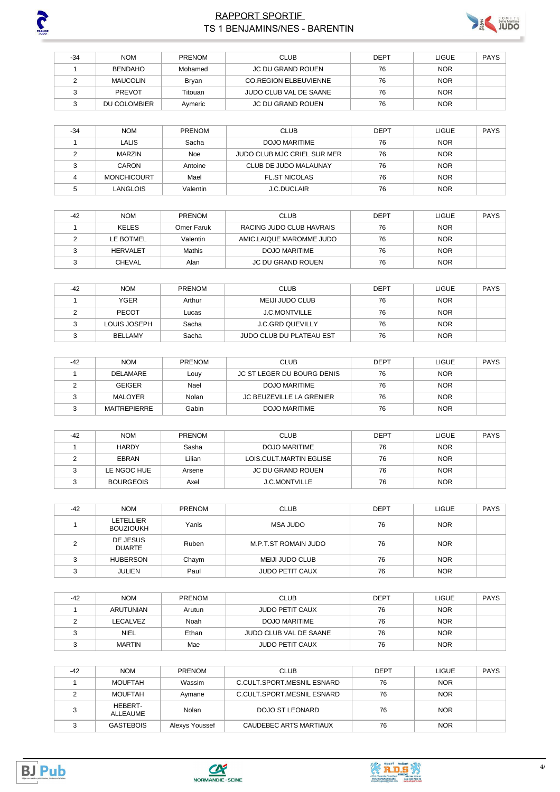

# RAPPORT SPORTIF **DESIGNATION CONTROLS AND SERVE SERVER SUPPORT SPORTIFIER** TS 1 BENJAMINS/NES - BARENTIN



| -34 | <b>NOM</b>     | <b>PRENOM</b> | <b>CLUB</b>                  | <b>DEPT</b> | <b>LIGUE</b> | <b>PAYS</b> |
|-----|----------------|---------------|------------------------------|-------------|--------------|-------------|
|     | <b>BENDAHO</b> | Mohamed       | JC DU GRAND ROUEN            | 76          | <b>NOR</b>   |             |
|     | MAUCOLIN       | Bryan         | <b>CO.REGION ELBEUVIENNE</b> | 76          | <b>NOR</b>   |             |
|     | <b>PREVOT</b>  | Titouan       | JUDO CLUB VAL DE SAANE       | 76          | <b>NOR</b>   |             |
|     | DU COLOMBIER   | Aymeric       | <b>JC DU GRAND ROUEN</b>     | 76          | <b>NOR</b>   |             |

| $-34$ | <b>NOM</b>         | <b>PRENOM</b> | <b>CLUB</b>                 | <b>DEPT</b> | <b>LIGUE</b> | <b>PAYS</b> |
|-------|--------------------|---------------|-----------------------------|-------------|--------------|-------------|
|       | LALIS              | Sacha         | DOJO MARITIME               | 76          | <b>NOR</b>   |             |
|       | MARZIN             | Noe           | JUDO CLUB MJC CRIEL SUR MER | 76          | <b>NOR</b>   |             |
|       | CARON              | Antoine       | CLUB DE JUDO MALAUNAY       | 76          | <b>NOR</b>   |             |
|       | <b>MONCHICOURT</b> | Mael          | <b>FL.ST NICOLAS</b>        | 76          | <b>NOR</b>   |             |
|       | LANGLOIS           | Valentin      | <b>J.C.DUCLAIR</b>          | 76          | <b>NOR</b>   |             |

| $-42$ | <b>NOM</b>      | <b>PRENOM</b> | <b>CLUB</b>              | <b>DEPT</b> | <b>LIGUE</b> | <b>PAYS</b> |
|-------|-----------------|---------------|--------------------------|-------------|--------------|-------------|
|       | <b>KELES</b>    | Omer Faruk    | RACING JUDO CLUB HAVRAIS | 76          | <b>NOR</b>   |             |
|       | LE BOTMEL       | Valentin      | AMIC.LAIQUE MAROMME JUDO | 76          | <b>NOR</b>   |             |
|       | <b>HERVALET</b> | Mathis        | DOJO MARITIME            | 76          | <b>NOR</b>   |             |
|       | <b>CHEVAL</b>   | Alan          | JC DU GRAND ROUEN        | 76          | <b>NOR</b>   |             |

| $-42$ | <b>NOM</b>     | PRENOM | <b>CLUB</b>                     | <b>DEPT</b> | <b>LIGUE</b> | <b>PAYS</b> |
|-------|----------------|--------|---------------------------------|-------------|--------------|-------------|
|       | <b>YGER</b>    | Arthur | MEIJI JUDO CLUB                 | 76          | <b>NOR</b>   |             |
|       | <b>PECOT</b>   | Lucas  | <b>J.C.MONTVILLE</b>            | 76          | <b>NOR</b>   |             |
|       | LOUIS JOSEPH   | Sacha  | J.C.GRD QUEVILLY                | 76          | <b>NOR</b>   |             |
|       | <b>BELLAMY</b> | Sacha  | <b>JUDO CLUB DU PLATEAU EST</b> | 76          | <b>NOR</b>   |             |

| $-42$ | <b>NOM</b>          | <b>PRENOM</b> | <b>CLUB</b>                     | <b>DEPT</b> | LIGUE      | <b>PAYS</b> |
|-------|---------------------|---------------|---------------------------------|-------------|------------|-------------|
|       | DELAMARE            | Louy          | JC ST LEGER DU BOURG DENIS      | 76          | <b>NOR</b> |             |
|       | <b>GEIGER</b>       | Nael          | DOJO MARITIME                   | 76          | <b>NOR</b> |             |
|       | MALOYER             | Nolan         | <b>JC BEUZEVILLE LA GRENIER</b> | 76          | <b>NOR</b> |             |
|       | <b>MAITREPIERRE</b> | Gabin         | DOJO MARITIME                   | 76          | <b>NOR</b> |             |

| -42 | <b>NOM</b>       | <b>PRENOM</b> | <b>CLUB</b>             | <b>DEPT</b> | <b>LIGUE</b> | <b>PAYS</b> |
|-----|------------------|---------------|-------------------------|-------------|--------------|-------------|
|     | <b>HARDY</b>     | Sasha         | <b>DOJO MARITIME</b>    | 76          | <b>NOR</b>   |             |
|     | EBRAN            | Lilian        | LOIS CULT MARTIN EGLISE | 76          | <b>NOR</b>   |             |
|     | LE NGOC HUE      | Arsene        | JC DU GRAND ROUEN       | 76          | <b>NOR</b>   |             |
|     | <b>BOURGEOIS</b> | Axel          | <b>J.C.MONTVILLE</b>    | 76          | <b>NOR</b>   |             |

| $-42$ | <b>NOM</b>                    | <b>PRENOM</b> | <b>CLUB</b>            | <b>DEPT</b> | <b>LIGUE</b> | <b>PAYS</b> |
|-------|-------------------------------|---------------|------------------------|-------------|--------------|-------------|
|       | LETELLIER<br><b>BOUZIOUKH</b> | Yanis         | <b>MSA JUDO</b>        | 76          | <b>NOR</b>   |             |
|       | DE JESUS<br><b>DUARTE</b>     | Ruben         | M.P.T.ST ROMAIN JUDO   | 76          | <b>NOR</b>   |             |
|       | <b>HUBERSON</b>               | Chaym         | MEIJI JUDO CLUB        | 76          | <b>NOR</b>   |             |
|       | <b>JULIEN</b>                 | Paul          | <b>JUDO PETIT CAUX</b> | 76          | <b>NOR</b>   |             |

| $-42$ | <b>NOM</b>    | <b>PRENOM</b> | <b>CLUB</b>            | <b>DEPT</b> | LIGUE      | <b>PAYS</b> |
|-------|---------------|---------------|------------------------|-------------|------------|-------------|
|       | ARUTUNIAN     | Arutun        | <b>JUDO PETIT CAUX</b> | 76          | <b>NOR</b> |             |
|       | LECALVEZ      | Noah          | DOJO MARITIME          | 76          | <b>NOR</b> |             |
|       | <b>NIEL</b>   | Ethan         | JUDO CLUB VAL DE SAANE | 76          | <b>NOR</b> |             |
|       | <b>MARTIN</b> | Mae           | <b>JUDO PETIT CAUX</b> | 76          | <b>NOR</b> |             |

| $-42$ | <b>NOM</b>          | <b>PRENOM</b>  | <b>CLUB</b>                | <b>DEPT</b> | <b>LIGUE</b> | <b>PAYS</b> |
|-------|---------------------|----------------|----------------------------|-------------|--------------|-------------|
|       | MOUFTAH             | Wassim         | C.CULT.SPORT.MESNIL ESNARD | 76          | <b>NOR</b>   |             |
|       | <b>MOUFTAH</b>      | Avmane         | C.CULT.SPORT.MESNIL ESNARD | 76          | <b>NOR</b>   |             |
|       | HEBERT-<br>ALLEAUME | Nolan          | DOJO ST LEONARD            | 76          | <b>NOR</b>   |             |
|       | <b>GASTEBOIS</b>    | Alexys Youssef | CAUDEBEC ARTS MARTIAUX     | 76          | <b>NOR</b>   |             |





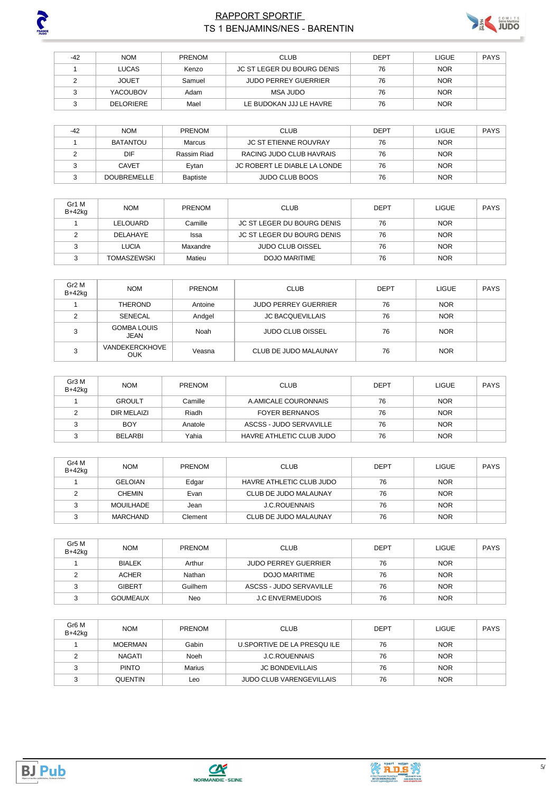

## **RAPPORT SPORTIF** TS 1 BENJAMINS/NES - BARENTIN



| $-42$ | <b>NOM</b>       | <b>PRENOM</b> | <b>CLUB</b>                 | <b>DEPT</b> | LIGUE      | <b>PAYS</b> |
|-------|------------------|---------------|-----------------------------|-------------|------------|-------------|
|       | LUCAS            | Kenzo         | JC ST LEGER DU BOURG DENIS  | 76          | <b>NOR</b> |             |
|       | <b>JOUET</b>     | Samuel        | <b>JUDO PERREY GUERRIER</b> | 76          | <b>NOR</b> |             |
|       | <b>YACOUBOV</b>  | Adam          | MSA JUDO                    | 76          | <b>NOR</b> |             |
|       | <b>DELORIERE</b> | Mael          | LE BUDOKAN JJJ LE HAVRE     | 76          | <b>NOR</b> |             |

| $-42$ | <b>NOM</b>         | <b>PRENOM</b> | <b>CLUB</b>                  | <b>DEPT</b> | <b>LIGUE</b> | <b>PAYS</b> |
|-------|--------------------|---------------|------------------------------|-------------|--------------|-------------|
|       | BATANTOU           | Marcus        | <b>JC ST ETIENNE ROUVRAY</b> | 76          | <b>NOR</b>   |             |
|       | DIF                | Rassim Riad   | RACING JUDO CLUB HAVRAIS     | 76          | <b>NOR</b>   |             |
|       | <b>CAVET</b>       | Evtan         | JC ROBERT LE DIABLE LA LONDE | 76          | <b>NOR</b>   |             |
|       | <b>DOUBREMELLE</b> | Baptiste      | <b>JUDO CLUB BOOS</b>        | 76          | <b>NOR</b>   |             |

| Gr1 M<br>B+42kg | <b>NOM</b>         | <b>PRENOM</b> | <b>CLUB</b>                | DEPT | <b>LIGUE</b> | PAYS |
|-----------------|--------------------|---------------|----------------------------|------|--------------|------|
|                 | LELOUARD           | Camille       | JC ST LEGER DU BOURG DENIS | 76   | <b>NOR</b>   |      |
|                 | DELAHAYE           | Issa          | JC ST LEGER DU BOURG DENIS | 76   | <b>NOR</b>   |      |
|                 | <b>LUCIA</b>       | Maxandre      | <b>JUDO CLUB OISSEL</b>    | 76   | <b>NOR</b>   |      |
|                 | <b>TOMASZEWSKI</b> | Matieu        | DOJO MARITIME              | 76   | <b>NOR</b>   |      |

| Gr <sub>2</sub> M<br>B+42kg | <b>NOM</b>                          | PRENOM  | <b>CLUB</b>                 | DEPT | <b>LIGUE</b> | <b>PAYS</b> |
|-----------------------------|-------------------------------------|---------|-----------------------------|------|--------------|-------------|
|                             | THEROND                             | Antoine | <b>JUDO PERREY GUERRIER</b> | 76   | <b>NOR</b>   |             |
|                             | SENECAL                             | Andgel  | <b>JC BACQUEVILLAIS</b>     | 76   | <b>NOR</b>   |             |
| ີ                           | <b>GOMBA LOUIS</b><br>JEAN          | Noah    | <b>JUDO CLUB OISSEL</b>     | 76   | <b>NOR</b>   |             |
| ີ                           | <b>VANDEKERCKHOVE</b><br><b>OUK</b> | Veasna  | CLUB DE JUDO MALAUNAY       | 76   | <b>NOR</b>   |             |

| Gr3 M<br>B+42kg | <b>NOM</b>     | <b>PRENOM</b> | <b>CLUB</b>              | <b>DEPT</b> | <b>LIGUE</b> | <b>PAYS</b> |
|-----------------|----------------|---------------|--------------------------|-------------|--------------|-------------|
|                 | <b>GROULT</b>  | Camille       | A AMICALE COURONNAIS     | 76          | <b>NOR</b>   |             |
|                 | DIR MELAIZI    | Riadh         | <b>FOYER BERNANOS</b>    | 76          | <b>NOR</b>   |             |
|                 | <b>BOY</b>     | Anatole       | ASCSS - JUDO SERVAVILLE  | 76          | <b>NOR</b>   |             |
|                 | <b>BELARBI</b> | Yahia         | HAVRE ATHLETIC CLUB JUDO | 76          | <b>NOR</b>   |             |

| Gr4 M<br>B+42kg | <b>NOM</b>     | PRENOM  | <b>CLUB</b>              | <b>DEPT</b> | LIGUE      | <b>PAYS</b> |
|-----------------|----------------|---------|--------------------------|-------------|------------|-------------|
|                 | <b>GELOIAN</b> | Edgar   | HAVRE ATHLETIC CLUB JUDO | 76          | <b>NOR</b> |             |
|                 | <b>CHEMIN</b>  | Evan    | CLUB DE JUDO MALAUNAY    | 76          | <b>NOR</b> |             |
| ີ               | MOUILHADE      | Jean    | <b>J.C.ROUENNAIS</b>     | 76          | <b>NOR</b> |             |
|                 | MARCHAND       | Clement | CLUB DE JUDO MALAUNAY    | 76          | <b>NOR</b> |             |

| Gr5 M<br>B+42kg | <b>NOM</b>      | <b>PRENOM</b> | <b>CLUB</b>                 | <b>DEPT</b> | <b>LIGUE</b> | PAYS |
|-----------------|-----------------|---------------|-----------------------------|-------------|--------------|------|
|                 | <b>BIALEK</b>   | Arthur        | <b>JUDO PERREY GUERRIER</b> | 76          | <b>NOR</b>   |      |
|                 | <b>ACHER</b>    | Nathan        | DOJO MARITIME               | 76          | <b>NOR</b>   |      |
|                 | <b>GIBERT</b>   | Guilhem       | ASCSS - JUDO SERVAVILLE     | 76          | <b>NOR</b>   |      |
|                 | <b>GOUMEAUX</b> | Neo           | <b>J.C ENVERMEUDOIS</b>     | 76          | <b>NOR</b>   |      |

| Gr6 M<br>$B+42kq$ | <b>NOM</b>     | <b>PRENOM</b> | <b>CLUB</b>                     | <b>DEPT</b> | <b>LIGUE</b> | <b>PAYS</b> |
|-------------------|----------------|---------------|---------------------------------|-------------|--------------|-------------|
|                   | <b>MOERMAN</b> | Gabin         | U.SPORTIVE DE LA PRESQUILE      | 76          | <b>NOR</b>   |             |
|                   | NAGATI         | Noeh          | <b>J.C.ROUENNAIS</b>            | 76          | <b>NOR</b>   |             |
|                   | <b>PINTO</b>   | Marius        | <b>JC BONDEVILLAIS</b>          | 76          | <b>NOR</b>   |             |
|                   | <b>QUENTIN</b> | Leo           | <b>JUDO CLUB VARENGEVILLAIS</b> | 76          | <b>NOR</b>   |             |